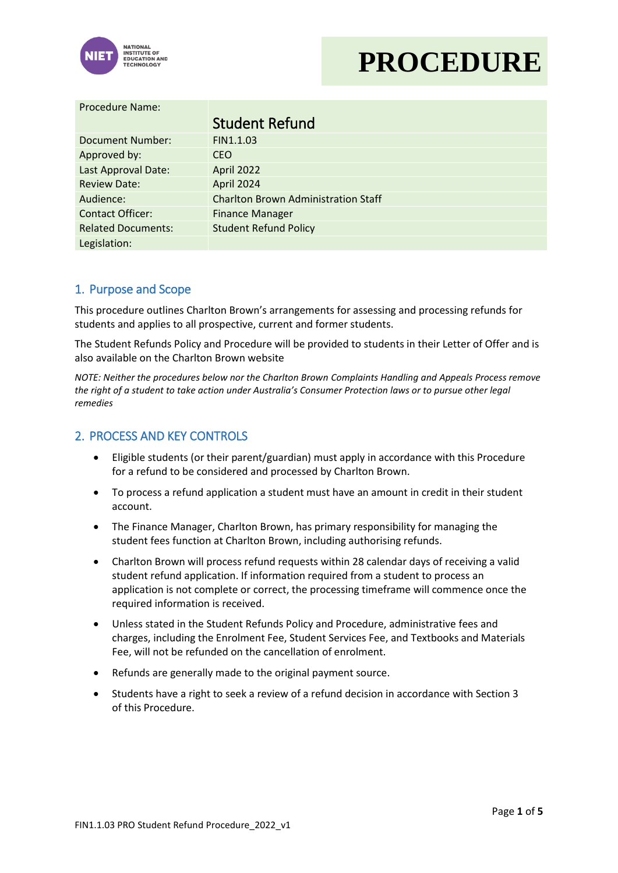

# **PROCEDURE**

| <b>Procedure Name:</b>    |                                            |  |
|---------------------------|--------------------------------------------|--|
|                           | <b>Student Refund</b>                      |  |
| Document Number:          | FIN1.1.03                                  |  |
| Approved by:              | <b>CEO</b>                                 |  |
| Last Approval Date:       | April 2022                                 |  |
| <b>Review Date:</b>       | April 2024                                 |  |
| Audience:                 | <b>Charlton Brown Administration Staff</b> |  |
| <b>Contact Officer:</b>   | <b>Finance Manager</b>                     |  |
| <b>Related Documents:</b> | <b>Student Refund Policy</b>               |  |
| Legislation:              |                                            |  |

#### 1. Purpose and Scope

This procedure outlines Charlton Brown's arrangements for assessing and processing refunds for students and applies to all prospective, current and former students.

The Student Refunds Policy and Procedure will be provided to students in their Letter of Offer and is also available on the Charlton Brown website

*NOTE: Neither the procedures below nor the Charlton Brown Complaints Handling and Appeals Process remove the right of a student to take action under Australia's Consumer Protection laws or to pursue other legal remedies*

### 2. PROCESS AND KEY CONTROLS

- Eligible students (or their parent/guardian) must apply in accordance with this Procedure for a refund to be considered and processed by Charlton Brown.
- To process a refund application a student must have an amount in credit in their student account.
- The Finance Manager, Charlton Brown, has primary responsibility for managing the student fees function at Charlton Brown, including authorising refunds.
- Charlton Brown will process refund requests within 28 calendar days of receiving a valid student refund application. If information required from a student to process an application is not complete or correct, the processing timeframe will commence once the required information is received.
- Unless stated in the Student Refunds Policy and Procedure, administrative fees and charges, including the Enrolment Fee, Student Services Fee, and Textbooks and Materials Fee, will not be refunded on the cancellation of enrolment.
- Refunds are generally made to the original payment source.
- Students have a right to seek a review of a refund decision in accordance with Section 3 of this Procedure.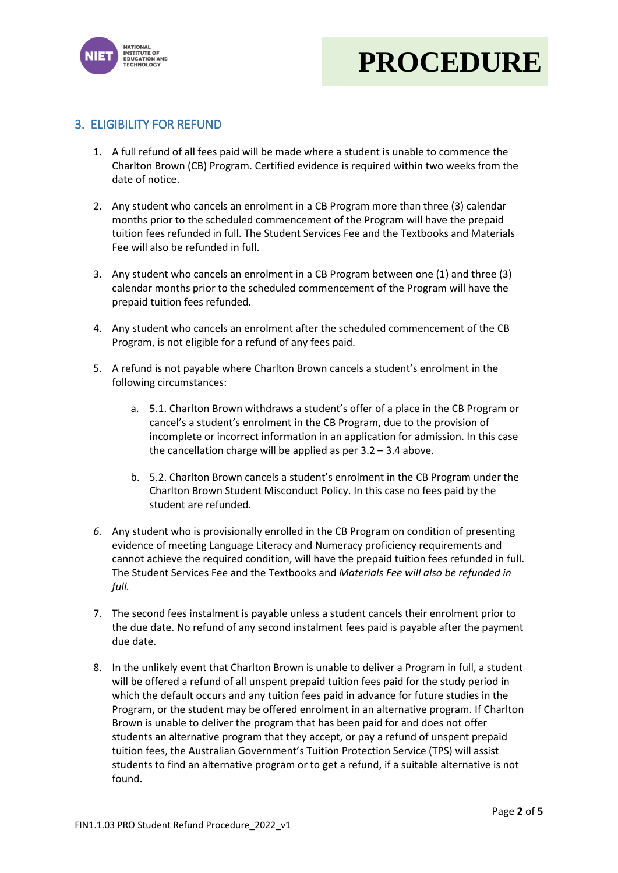



## 3. ELIGIBILITY FOR REFUND

- 1. A full refund of all fees paid will be made where a student is unable to commence the Charlton Brown (CB) Program. Certified evidence is required within two weeks from the date of notice.
- 2. Any student who cancels an enrolment in a CB Program more than three (3) calendar months prior to the scheduled commencement of the Program will have the prepaid tuition fees refunded in full. The Student Services Fee and the Textbooks and Materials Fee will also be refunded in full.
- 3. Any student who cancels an enrolment in a CB Program between one (1) and three (3) calendar months prior to the scheduled commencement of the Program will have the prepaid tuition fees refunded.
- 4. Any student who cancels an enrolment after the scheduled commencement of the CB Program, is not eligible for a refund of any fees paid.
- 5. A refund is not payable where Charlton Brown cancels a student's enrolment in the following circumstances:
	- a. 5.1. Charlton Brown withdraws a student's offer of a place in the CB Program or cancel's a student's enrolment in the CB Program, due to the provision of incomplete or incorrect information in an application for admission. In this case the cancellation charge will be applied as per 3.2 – 3.4 above.
	- b. 5.2. Charlton Brown cancels a student's enrolment in the CB Program under the Charlton Brown Student Misconduct Policy. In this case no fees paid by the student are refunded.
- *6.* Any student who is provisionally enrolled in the CB Program on condition of presenting evidence of meeting Language Literacy and Numeracy proficiency requirements and cannot achieve the required condition, will have the prepaid tuition fees refunded in full. The Student Services Fee and the Textbooks and *Materials Fee will also be refunded in full.*
- 7. The second fees instalment is payable unless a student cancels their enrolment prior to the due date. No refund of any second instalment fees paid is payable after the payment due date.
- 8. In the unlikely event that Charlton Brown is unable to deliver a Program in full, a student will be offered a refund of all unspent prepaid tuition fees paid for the study period in which the default occurs and any tuition fees paid in advance for future studies in the Program, or the student may be offered enrolment in an alternative program. If Charlton Brown is unable to deliver the program that has been paid for and does not offer students an alternative program that they accept, or pay a refund of unspent prepaid tuition fees, the Australian Government's Tuition Protection Service (TPS) will assist students to find an alternative program or to get a refund, if a suitable alternative is not found.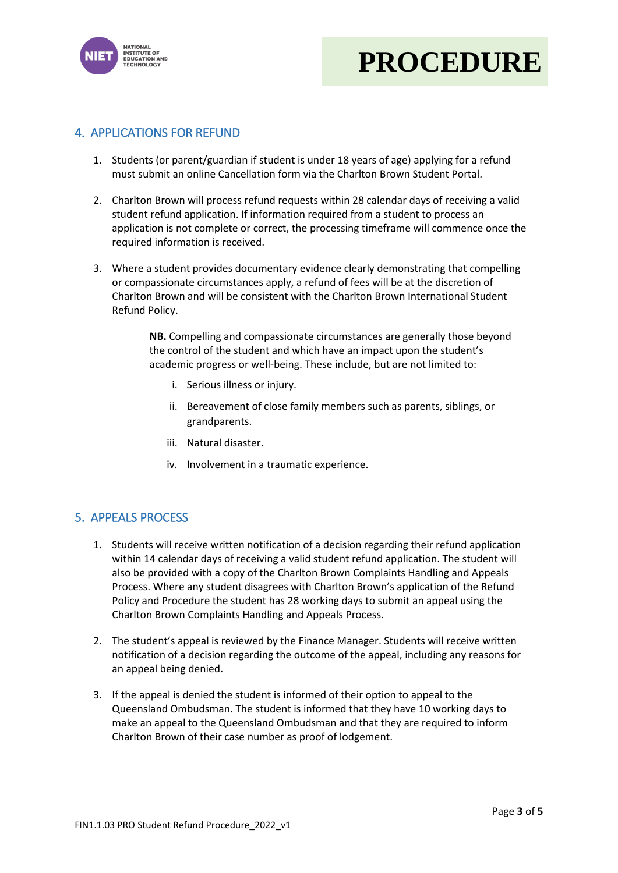



### 4. APPLICATIONS FOR REFUND

- 1. Students (or parent/guardian if student is under 18 years of age) applying for a refund must submit an online Cancellation form via the Charlton Brown Student Portal.
- 2. Charlton Brown will process refund requests within 28 calendar days of receiving a valid student refund application. If information required from a student to process an application is not complete or correct, the processing timeframe will commence once the required information is received.
- 3. Where a student provides documentary evidence clearly demonstrating that compelling or compassionate circumstances apply, a refund of fees will be at the discretion of Charlton Brown and will be consistent with the Charlton Brown International Student Refund Policy.

**NB.** Compelling and compassionate circumstances are generally those beyond the control of the student and which have an impact upon the student's academic progress or well-being. These include, but are not limited to:

- i. Serious illness or injury.
- ii. Bereavement of close family members such as parents, siblings, or grandparents.
- iii. Natural disaster.
- iv. Involvement in a traumatic experience.

#### 5. APPEALS PROCESS

- 1. Students will receive written notification of a decision regarding their refund application within 14 calendar days of receiving a valid student refund application. The student will also be provided with a copy of the Charlton Brown Complaints Handling and Appeals Process. Where any student disagrees with Charlton Brown's application of the Refund Policy and Procedure the student has 28 working days to submit an appeal using the Charlton Brown Complaints Handling and Appeals Process.
- 2. The student's appeal is reviewed by the Finance Manager. Students will receive written notification of a decision regarding the outcome of the appeal, including any reasons for an appeal being denied.
- 3. If the appeal is denied the student is informed of their option to appeal to the Queensland Ombudsman. The student is informed that they have 10 working days to make an appeal to the Queensland Ombudsman and that they are required to inform Charlton Brown of their case number as proof of lodgement.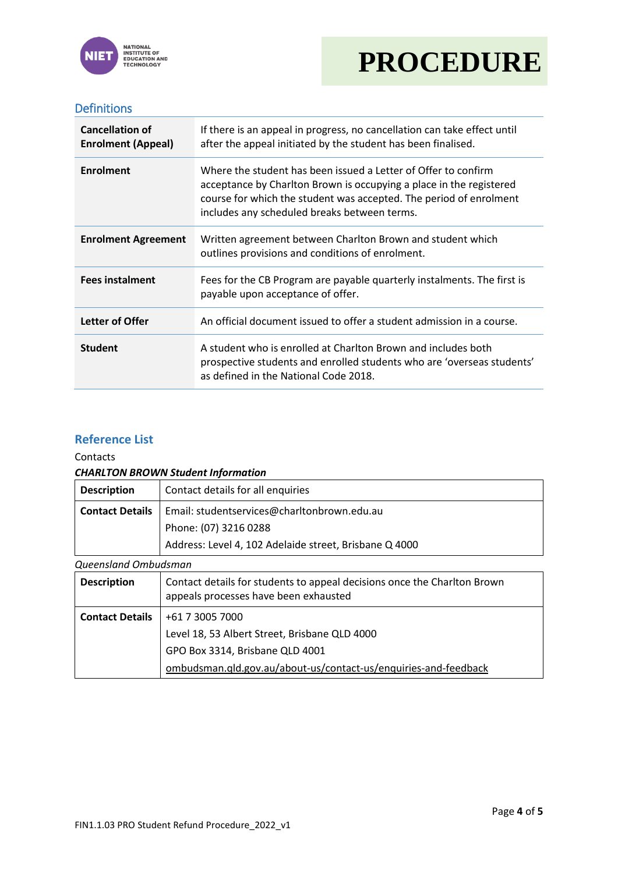



### Definitions

| <b>Cancellation of</b><br><b>Enrolment (Appeal)</b> | If there is an appeal in progress, no cancellation can take effect until<br>after the appeal initiated by the student has been finalised.                                                                                                                   |  |  |
|-----------------------------------------------------|-------------------------------------------------------------------------------------------------------------------------------------------------------------------------------------------------------------------------------------------------------------|--|--|
| <b>Enrolment</b>                                    | Where the student has been issued a Letter of Offer to confirm<br>acceptance by Charlton Brown is occupying a place in the registered<br>course for which the student was accepted. The period of enrolment<br>includes any scheduled breaks between terms. |  |  |
| <b>Enrolment Agreement</b>                          | Written agreement between Charlton Brown and student which<br>outlines provisions and conditions of enrolment.                                                                                                                                              |  |  |
| <b>Fees instalment</b>                              | Fees for the CB Program are payable quarterly instalments. The first is<br>payable upon acceptance of offer.                                                                                                                                                |  |  |
| Letter of Offer                                     | An official document issued to offer a student admission in a course.                                                                                                                                                                                       |  |  |
| <b>Student</b>                                      | A student who is enrolled at Charlton Brown and includes both<br>prospective students and enrolled students who are 'overseas students'<br>as defined in the National Code 2018.                                                                            |  |  |

#### **Reference List**

Contacts

#### *CHARLTON BROWN Student Information*

| <b>Description</b>     | Contact details for all enquiries                                                                                 |  |  |
|------------------------|-------------------------------------------------------------------------------------------------------------------|--|--|
| <b>Contact Details</b> | Email: studentservices@charltonbrown.edu.au                                                                       |  |  |
|                        | Phone: (07) 3216 0288                                                                                             |  |  |
|                        | Address: Level 4, 102 Adelaide street, Brisbane Q 4000                                                            |  |  |
| Queensland Ombudsman   |                                                                                                                   |  |  |
| <b>Description</b>     | Contact details for students to appeal decisions once the Charlton Brown<br>appeals processes have been exhausted |  |  |
| <b>Contact Details</b> | +61 7 3005 7000                                                                                                   |  |  |
|                        | Level 18, 53 Albert Street, Brisbane QLD 4000                                                                     |  |  |
|                        | GPO Box 3314, Brisbane QLD 4001                                                                                   |  |  |
|                        | ombudsman.qld.gov.au/about-us/contact-us/enquiries-and-feedback                                                   |  |  |